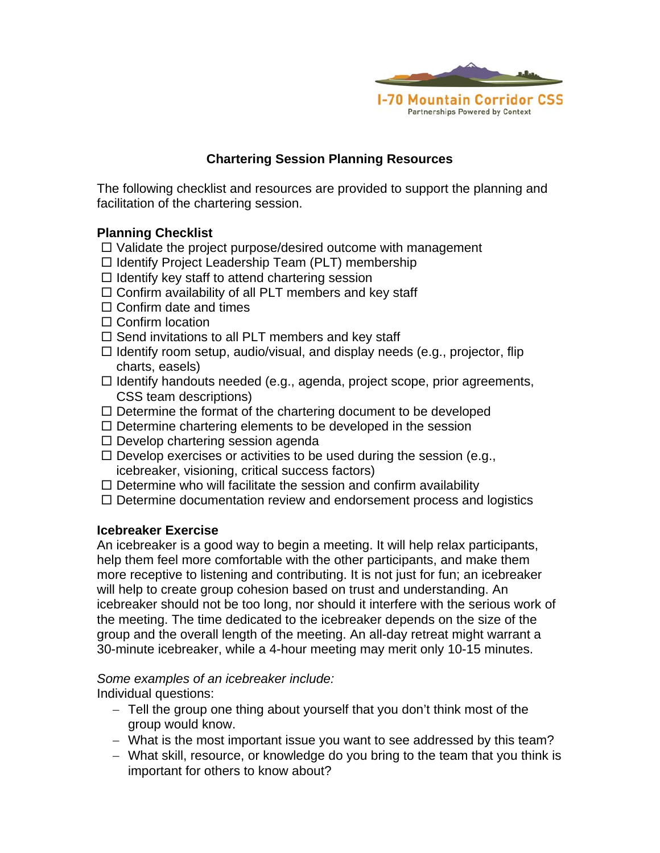

## **Chartering Session Planning Resources**

The following checklist and resources are provided to support the planning and facilitation of the chartering session.

## **Planning Checklist**

- $\Box$  Validate the project purpose/desired outcome with management
- $\Box$  Identify Project Leadership Team (PLT) membership
- $\Box$  Identify key staff to attend chartering session
- $\Box$  Confirm availability of all PLT members and key staff
- $\Box$  Confirm date and times
- $\Box$  Confirm location
- $\Box$  Send invitations to all PLT members and key staff
- $\Box$  Identify room setup, audio/visual, and display needs (e.g., projector, flip charts, easels)
- $\Box$  Identify handouts needed (e.g., agenda, project scope, prior agreements, CSS team descriptions)
- $\Box$  Determine the format of the chartering document to be developed
- $\square$  Determine chartering elements to be developed in the session
- $\Box$  Develop chartering session agenda
- $\Box$  Develop exercises or activities to be used during the session (e.g., icebreaker, visioning, critical success factors)
- $\Box$  Determine who will facilitate the session and confirm availability
- $\Box$  Determine documentation review and endorsement process and logistics

#### **Icebreaker Exercise**

An icebreaker is a good way to begin a meeting. It will help relax participants, help them feel more comfortable with the other participants, and make them more receptive to listening and contributing. It is not just for fun; an icebreaker will help to create group cohesion based on trust and understanding. An icebreaker should not be too long, nor should it interfere with the serious work of the meeting. The time dedicated to the icebreaker depends on the size of the group and the overall length of the meeting. An all-day retreat might warrant a 30-minute icebreaker, while a 4-hour meeting may merit only 10-15 minutes.

## *Some examples of an icebreaker include:*

Individual questions:

- Tell the group one thing about yourself that you don't think most of the group would know.
- What is the most important issue you want to see addressed by this team?
- What skill, resource, or knowledge do you bring to the team that you think is important for others to know about?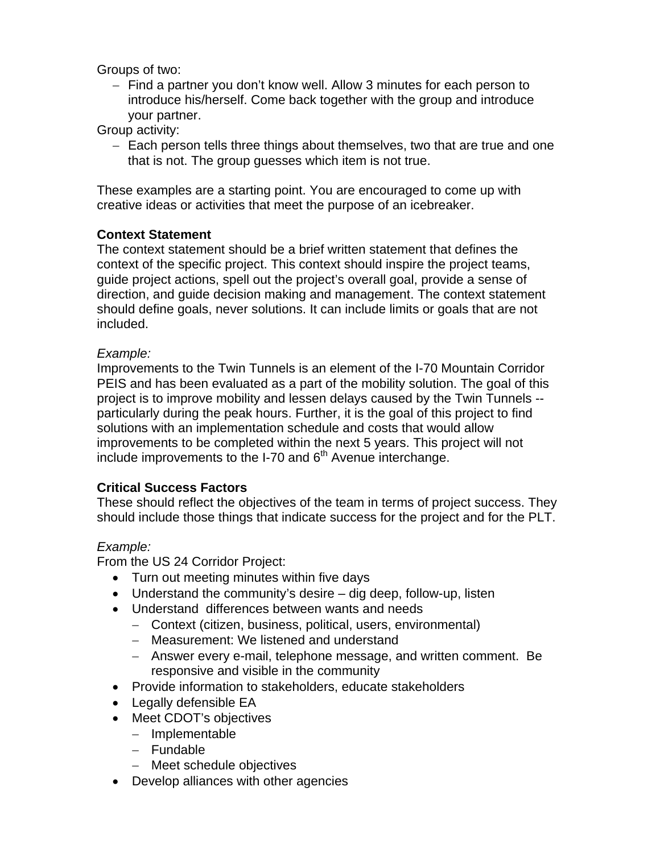Groups of two:

- Find a partner you don't know well. Allow 3 minutes for each person to introduce his/herself. Come back together with the group and introduce your partner.

Group activity:

- Each person tells three things about themselves, two that are true and one that is not. The group guesses which item is not true.

These examples are a starting point. You are encouraged to come up with creative ideas or activities that meet the purpose of an icebreaker.

### **Context Statement**

The context statement should be a brief written statement that defines the context of the specific project. This context should inspire the project teams, guide project actions, spell out the project's overall goal, provide a sense of direction, and guide decision making and management. The context statement should define goals, never solutions. It can include limits or goals that are not included.

#### *Example:*

Improvements to the Twin Tunnels is an element of the I-70 Mountain Corridor PEIS and has been evaluated as a part of the mobility solution. The goal of this project is to improve mobility and lessen delays caused by the Twin Tunnels - particularly during the peak hours. Further, it is the goal of this project to find solutions with an implementation schedule and costs that would allow improvements to be completed within the next 5 years. This project will not include improvements to the I-70 and 6<sup>th</sup> Avenue interchange.

#### **Critical Success Factors**

These should reflect the objectives of the team in terms of project success. They should include those things that indicate success for the project and for the PLT.

## *Example:*

From the US 24 Corridor Project:

- Turn out meeting minutes within five days
- Understand the community's desire dig deep, follow-up, listen
- Understand differences between wants and needs
	- Context (citizen, business, political, users, environmental)
	- Measurement: We listened and understand
	- Answer every e-mail, telephone message, and written comment. Be responsive and visible in the community
- Provide information to stakeholders, educate stakeholders
- Legally defensible EA
- Meet CDOT's objectives
	- $-$  Implementable
	- Fundable
	- Meet schedule objectives
- Develop alliances with other agencies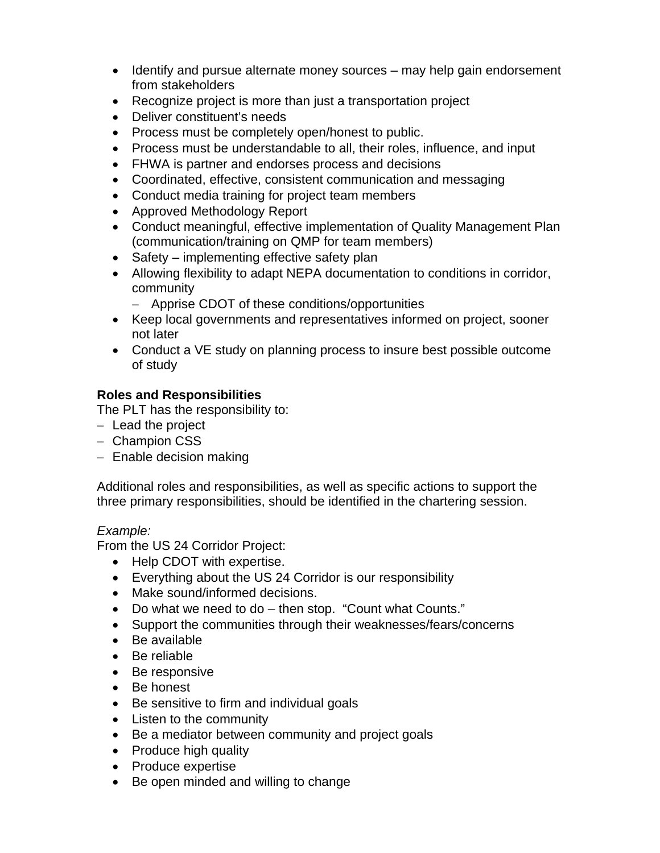- Identify and pursue alternate money sources may help gain endorsement from stakeholders
- Recognize project is more than just a transportation project
- Deliver constituent's needs
- Process must be completely open/honest to public.
- Process must be understandable to all, their roles, influence, and input
- FHWA is partner and endorses process and decisions
- Coordinated, effective, consistent communication and messaging
- Conduct media training for project team members
- Approved Methodology Report
- Conduct meaningful, effective implementation of Quality Management Plan (communication/training on QMP for team members)
- Safety implementing effective safety plan
- Allowing flexibility to adapt NEPA documentation to conditions in corridor, community
	- Apprise CDOT of these conditions/opportunities
- Keep local governments and representatives informed on project, sooner not later
- Conduct a VE study on planning process to insure best possible outcome of study

# **Roles and Responsibilities**

The PLT has the responsibility to:

- $-$  Lead the project
- Champion CSS
- Enable decision making

Additional roles and responsibilities, as well as specific actions to support the three primary responsibilities, should be identified in the chartering session.

## *Example:*

From the US 24 Corridor Project:

- Help CDOT with expertise.
- Everything about the US 24 Corridor is our responsibility
- Make sound/informed decisions.
- Do what we need to do then stop. "Count what Counts."
- Support the communities through their weaknesses/fears/concerns
- Be available
- Be reliable
- Be responsive
- Be honest
- Be sensitive to firm and individual goals
- Listen to the community
- Be a mediator between community and project goals
- Produce high quality
- Produce expertise
- Be open minded and willing to change